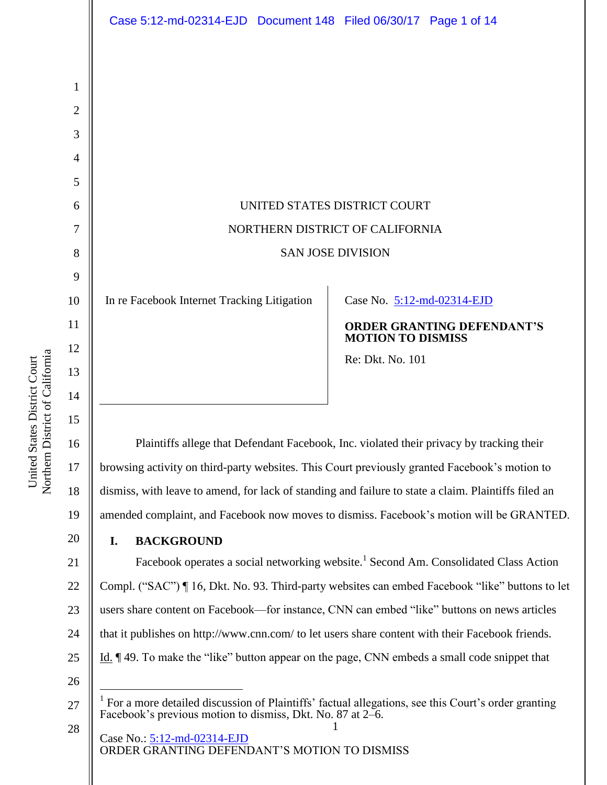|                | Case 5:12-md-02314-EJD  Document 148  Filed 06/30/17  Page 1 of 14                                                                                                                                   |                                                               |  |
|----------------|------------------------------------------------------------------------------------------------------------------------------------------------------------------------------------------------------|---------------------------------------------------------------|--|
|                |                                                                                                                                                                                                      |                                                               |  |
|                |                                                                                                                                                                                                      |                                                               |  |
| 1<br>2         |                                                                                                                                                                                                      |                                                               |  |
| 3              |                                                                                                                                                                                                      |                                                               |  |
| 4              |                                                                                                                                                                                                      |                                                               |  |
| 5              |                                                                                                                                                                                                      |                                                               |  |
| 6              | UNITED STATES DISTRICT COURT                                                                                                                                                                         |                                                               |  |
| 7              | NORTHERN DISTRICT OF CALIFORNIA                                                                                                                                                                      |                                                               |  |
| 8              | <b>SAN JOSE DIVISION</b>                                                                                                                                                                             |                                                               |  |
| 9              |                                                                                                                                                                                                      |                                                               |  |
| 10             | In re Facebook Internet Tracking Litigation                                                                                                                                                          | Case No. 5:12-md-02314-EJD                                    |  |
| 11             |                                                                                                                                                                                                      | <b>ORDER GRANTING DEFENDANT'S</b><br><b>MOTION TO DISMISS</b> |  |
| 12             |                                                                                                                                                                                                      | Re: Dkt. No. 101                                              |  |
| 13<br>14       |                                                                                                                                                                                                      |                                                               |  |
| 15             |                                                                                                                                                                                                      |                                                               |  |
| 16             | Plaintiffs allege that Defendant Facebook, Inc. violated their privacy by tracking their                                                                                                             |                                                               |  |
| 17             | browsing activity on third-party websites. This Court previously granted Facebook's motion to                                                                                                        |                                                               |  |
| 18             | dismiss, with leave to amend, for lack of standing and failure to state a claim. Plaintiffs filed an                                                                                                 |                                                               |  |
| 19             | amended complaint, and Facebook now moves to dismiss. Facebook's motion will be GRANTED.                                                                                                             |                                                               |  |
| 20             | <b>BACKGROUND</b><br>I.                                                                                                                                                                              |                                                               |  |
| 21             | Facebook operates a social networking website. <sup>1</sup> Second Am. Consolidated Class Action                                                                                                     |                                                               |  |
| 22             | Compl. ("SAC") ¶ 16, Dkt. No. 93. Third-party websites can embed Facebook "like" buttons to let                                                                                                      |                                                               |  |
| 23             | users share content on Facebook—for instance, CNN can embed "like" buttons on news articles                                                                                                          |                                                               |  |
| 24             | that it publishes on http://www.cnn.com/ to let users share content with their Facebook friends.                                                                                                     |                                                               |  |
| 25             | Id. ¶49. To make the "like" button appear on the page, CNN embeds a small code snippet that                                                                                                          |                                                               |  |
| 26<br>27<br>28 | For a more detailed discussion of Plaintiffs' factual allegations, see this Court's order granting<br>Facebook's previous motion to dismiss, Dkt. No. 87 at 2–6.<br>1<br>Case No.: 5:12-md-02314-EJD |                                                               |  |
|                | ORDER GRANTING DEFENDANT'S MOTION TO DISMISS                                                                                                                                                         |                                                               |  |

United States District Court<br>Northern District of California Northern District of California United States District Court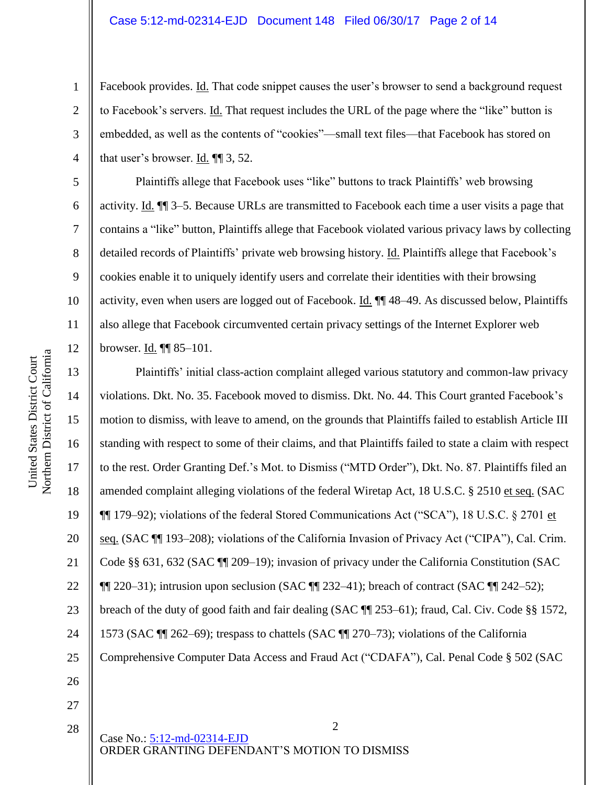#### Case 5:12-md-02314-EJD Document 148 Filed 06/30/17 Page 2 of 14

Facebook provides. Id. That code snippet causes the user's browser to send a background request to Facebook's servers. Id. That request includes the URL of the page where the "like" button is embedded, as well as the contents of "cookies"—small text files—that Facebook has stored on that user's browser. Id.  $\P$  3, 52.

Plaintiffs allege that Facebook uses "like" buttons to track Plaintiffs' web browsing activity. Id. ¶¶ 3–5. Because URLs are transmitted to Facebook each time a user visits a page that contains a "like" button, Plaintiffs allege that Facebook violated various privacy laws by collecting detailed records of Plaintiffs' private web browsing history. Id. Plaintiffs allege that Facebook's cookies enable it to uniquely identify users and correlate their identities with their browsing activity, even when users are logged out of Facebook. Id. ¶¶ 48–49. As discussed below, Plaintiffs also allege that Facebook circumvented certain privacy settings of the Internet Explorer web browser. Id. ¶¶ 85–101.

16 Plaintiffs' initial class-action complaint alleged various statutory and common-law privacy violations. Dkt. No. 35. Facebook moved to dismiss. Dkt. No. 44. This Court granted Facebook's motion to dismiss, with leave to amend, on the grounds that Plaintiffs failed to establish Article III standing with respect to some of their claims, and that Plaintiffs failed to state a claim with respect to the rest. Order Granting Def.'s Mot. to Dismiss ("MTD Order"), Dkt. No. 87. Plaintiffs filed an amended complaint alleging violations of the federal Wiretap Act, 18 U.S.C. § 2510 et seq. (SAC ¶¶ 179–92); violations of the federal Stored Communications Act ("SCA"), 18 U.S.C. § 2701 et seq. (SAC ¶¶ 193–208); violations of the California Invasion of Privacy Act ("CIPA"), Cal. Crim. Code §§ 631, 632 (SAC ¶¶ 209–19); invasion of privacy under the California Constitution (SAC  $\P$ [220–31); intrusion upon seclusion (SAC  $\P$ [232–41); breach of contract (SAC  $\P$ [242–52); breach of the duty of good faith and fair dealing (SAC ¶¶ 253–61); fraud, Cal. Civ. Code §§ 1572, 1573 (SAC ¶¶ 262–69); trespass to chattels (SAC ¶¶ 270–73); violations of the California Comprehensive Computer Data Access and Fraud Act ("CDAFA"), Cal. Penal Code § 502 (SAC

2

28

1

2

3

4

5

6

7

8

9

10

11

12

13

14

15

17

18

19

20

21

22

23

24

25

26

27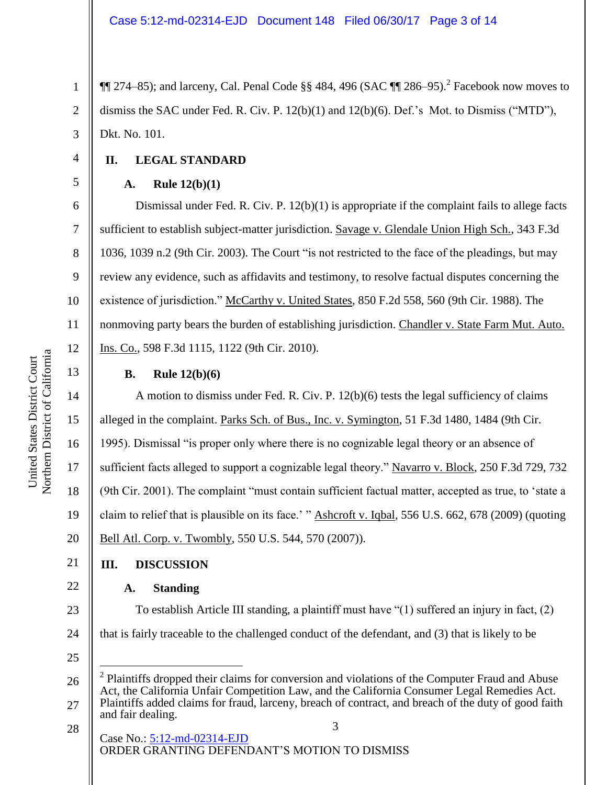$\P$  274–85); and larceny, Cal. Penal Code §§ 484, 496 (SAC  $\P$  286–95).<sup>2</sup> Facebook now moves to dismiss the SAC under Fed. R. Civ. P. 12(b)(1) and 12(b)(6). Def.'s Mot. to Dismiss ("MTD"), Dkt. No. 101.

# **II. LEGAL STANDARD**

### **A. Rule 12(b)(1)**

Dismissal under Fed. R. Civ. P. 12(b)(1) is appropriate if the complaint fails to allege facts sufficient to establish subject-matter jurisdiction. Savage v. Glendale Union High Sch., 343 F.3d 1036, 1039 n.2 (9th Cir. 2003). The Court "is not restricted to the face of the pleadings, but may review any evidence, such as affidavits and testimony, to resolve factual disputes concerning the existence of jurisdiction." McCarthy v. United States, 850 F.2d 558, 560 (9th Cir. 1988). The nonmoving party bears the burden of establishing jurisdiction. Chandler v. State Farm Mut. Auto. Ins. Co., 598 F.3d 1115, 1122 (9th Cir. 2010).

## **B. Rule 12(b)(6)**

A motion to dismiss under Fed. R. Civ. P. 12(b)(6) tests the legal sufficiency of claims alleged in the complaint. Parks Sch. of Bus., Inc. v. Symington, 51 F.3d 1480, 1484 (9th Cir. 1995). Dismissal "is proper only where there is no cognizable legal theory or an absence of sufficient facts alleged to support a cognizable legal theory." Navarro v. Block, 250 F.3d 729, 732 (9th Cir. 2001). The complaint "must contain sufficient factual matter, accepted as true, to 'state a claim to relief that is plausible on its face.' " Ashcroft v. Iqbal, 556 U.S. 662, 678 (2009) (quoting Bell Atl. Corp. v. Twombly, 550 U.S. 544, 570 (2007)).

# **III. DISCUSSION**

## **A. Standing**

To establish Article III standing, a plaintiff must have "(1) suffered an injury in fact, (2) that is fairly traceable to the challenged conduct of the defendant, and (3) that is likely to be

25

 $\overline{a}$ 

28

3 Case No.: [5:12-md-02314-EJD](https://ecf.cand.uscourts.gov/cgi-bin/DktRpt.pl?251223) ORDER GRANTING DEFENDANT'S MOTION TO DISMISS

5

6

7

8

9

10

11

12

13

14

15

16

17

18

19

20

21

22

23

24

<sup>26</sup> 27 2 Plaintiffs dropped their claims for conversion and violations of the Computer Fraud and Abuse Act, the California Unfair Competition Law, and the California Consumer Legal Remedies Act. Plaintiffs added claims for fraud, larceny, breach of contract, and breach of the duty of good faith and fair dealing.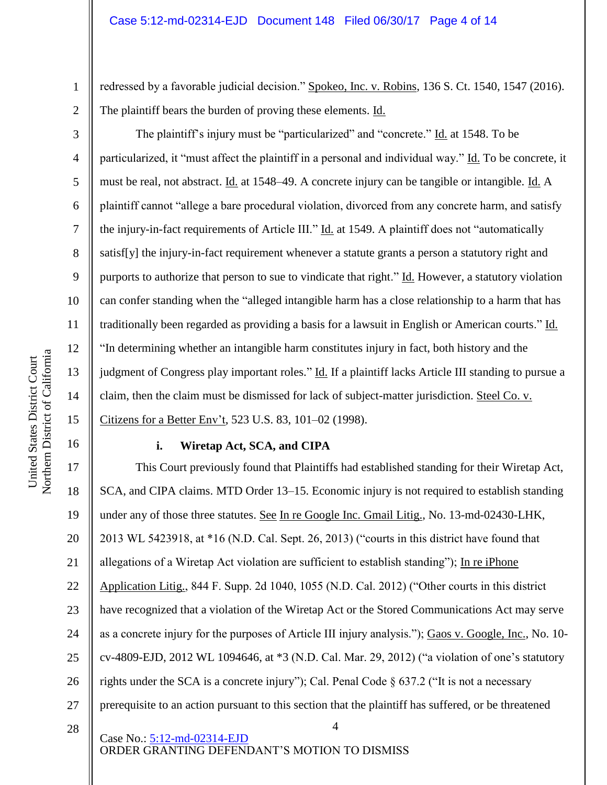redressed by a favorable judicial decision." Spokeo, Inc. v. Robins, 136 S. Ct. 1540, 1547 (2016). The plaintiff bears the burden of proving these elements. Id.

The plaintiff's injury must be "particularized" and "concrete." Id. at 1548. To be particularized, it "must affect the plaintiff in a personal and individual way." Id. To be concrete, it must be real, not abstract. Id. at 1548–49. A concrete injury can be tangible or intangible. Id. A plaintiff cannot "allege a bare procedural violation, divorced from any concrete harm, and satisfy the injury-in-fact requirements of Article III." Id. at 1549. A plaintiff does not "automatically satisf[y] the injury-in-fact requirement whenever a statute grants a person a statutory right and purports to authorize that person to sue to vindicate that right." Id. However, a statutory violation can confer standing when the "alleged intangible harm has a close relationship to a harm that has traditionally been regarded as providing a basis for a lawsuit in English or American courts." Id. "In determining whether an intangible harm constitutes injury in fact, both history and the judgment of Congress play important roles." Id. If a plaintiff lacks Article III standing to pursue a claim, then the claim must be dismissed for lack of subject-matter jurisdiction. Steel Co. v. Citizens for a Better Env't, 523 U.S. 83, 101–02 (1998).

#### **i. Wiretap Act, SCA, and CIPA**

4 17 18 19 20 21 22 23 24 25 26 27 This Court previously found that Plaintiffs had established standing for their Wiretap Act, SCA, and CIPA claims. MTD Order 13–15. Economic injury is not required to establish standing under any of those three statutes. See In re Google Inc. Gmail Litig., No. 13-md-02430-LHK, 2013 WL 5423918, at \*16 (N.D. Cal. Sept. 26, 2013) ("courts in this district have found that allegations of a Wiretap Act violation are sufficient to establish standing"); In re iPhone Application Litig., 844 F. Supp. 2d 1040, 1055 (N.D. Cal. 2012) ("Other courts in this district have recognized that a violation of the Wiretap Act or the Stored Communications Act may serve as a concrete injury for the purposes of Article III injury analysis."); Gaos v. Google, Inc., No. 10 cv-4809-EJD, 2012 WL 1094646, at \*3 (N.D. Cal. Mar. 29, 2012) ("a violation of one's statutory rights under the SCA is a concrete injury"); Cal. Penal Code § 637.2 ("It is not a necessary prerequisite to an action pursuant to this section that the plaintiff has suffered, or be threatened

Case No.: [5:12-md-02314-EJD](https://ecf.cand.uscourts.gov/cgi-bin/DktRpt.pl?251223) ORDER GRANTING DEFENDANT'S MOTION TO DISMISS

1

2

3

4

5

6

7

8

9

10

11

12

13

14

15

16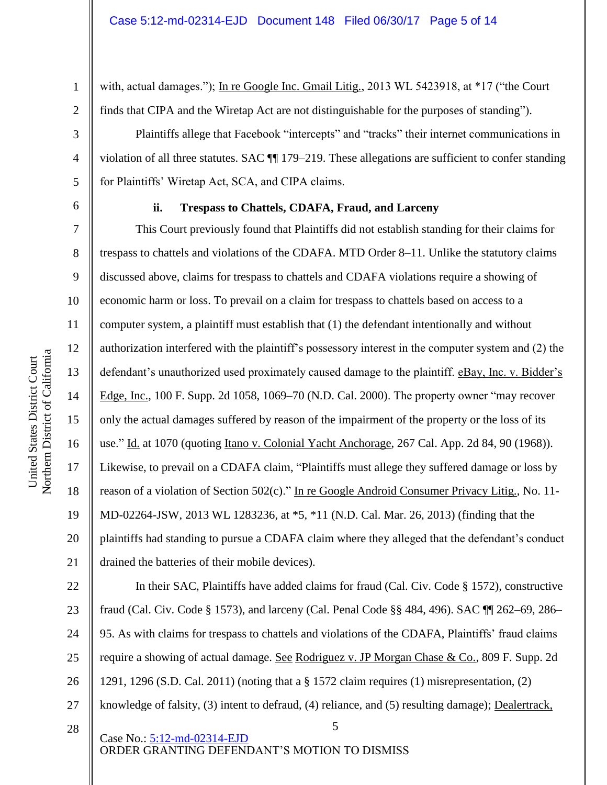with, actual damages."); In re Google Inc. Gmail Litig., 2013 WL 5423918, at \*17 ("the Court finds that CIPA and the Wiretap Act are not distinguishable for the purposes of standing").

Plaintiffs allege that Facebook "intercepts" and "tracks" their internet communications in violation of all three statutes. SAC ¶¶ 179–219. These allegations are sufficient to confer standing for Plaintiffs' Wiretap Act, SCA, and CIPA claims.

6

1

2

3

4

5

7

8

9

10

11

12

13

14

15

16

17

18

19

20

21

28

### **ii. Trespass to Chattels, CDAFA, Fraud, and Larceny**

This Court previously found that Plaintiffs did not establish standing for their claims for trespass to chattels and violations of the CDAFA. MTD Order 8–11. Unlike the statutory claims discussed above, claims for trespass to chattels and CDAFA violations require a showing of economic harm or loss. To prevail on a claim for trespass to chattels based on access to a computer system, a plaintiff must establish that (1) the defendant intentionally and without authorization interfered with the plaintiff's possessory interest in the computer system and (2) the defendant's unauthorized used proximately caused damage to the plaintiff. eBay, Inc. v. Bidder's Edge, Inc., 100 F. Supp. 2d 1058, 1069–70 (N.D. Cal. 2000). The property owner "may recover only the actual damages suffered by reason of the impairment of the property or the loss of its use." Id. at 1070 (quoting Itano v. Colonial Yacht Anchorage, 267 Cal. App. 2d 84, 90 (1968)). Likewise, to prevail on a CDAFA claim, "Plaintiffs must allege they suffered damage or loss by reason of a violation of Section 502(c)." In re Google Android Consumer Privacy Litig., No. 11-MD-02264-JSW, 2013 WL 1283236, at \*5, \*11 (N.D. Cal. Mar. 26, 2013) (finding that the plaintiffs had standing to pursue a CDAFA claim where they alleged that the defendant's conduct drained the batteries of their mobile devices).

22 23 24 25 26 27 In their SAC, Plaintiffs have added claims for fraud (Cal. Civ. Code § 1572), constructive fraud (Cal. Civ. Code § 1573), and larceny (Cal. Penal Code §§ 484, 496). SAC ¶¶ 262–69, 286– 95. As with claims for trespass to chattels and violations of the CDAFA, Plaintiffs' fraud claims require a showing of actual damage. See Rodriguez v. JP Morgan Chase & Co., 809 F. Supp. 2d 1291, 1296 (S.D. Cal. 2011) (noting that a § 1572 claim requires (1) misrepresentation, (2) knowledge of falsity, (3) intent to defraud, (4) reliance, and (5) resulting damage); Dealertrack,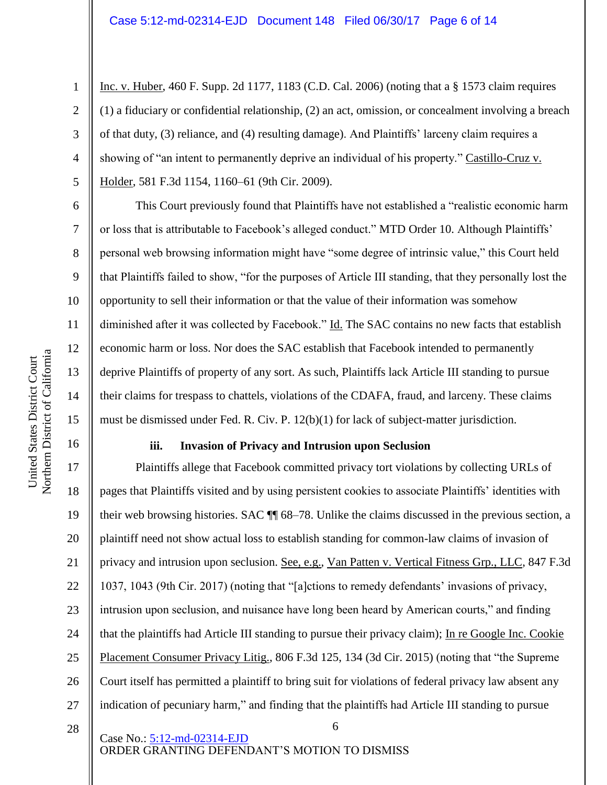Inc. v. Huber, 460 F. Supp. 2d 1177, 1183 (C.D. Cal. 2006) (noting that a § 1573 claim requires (1) a fiduciary or confidential relationship, (2) an act, omission, or concealment involving a breach of that duty, (3) reliance, and (4) resulting damage). And Plaintiffs' larceny claim requires a showing of "an intent to permanently deprive an individual of his property." Castillo-Cruz v. Holder, 581 F.3d 1154, 1160–61 (9th Cir. 2009).

This Court previously found that Plaintiffs have not established a "realistic economic harm or loss that is attributable to Facebook's alleged conduct." MTD Order 10. Although Plaintiffs' personal web browsing information might have "some degree of intrinsic value," this Court held that Plaintiffs failed to show, "for the purposes of Article III standing, that they personally lost the opportunity to sell their information or that the value of their information was somehow diminished after it was collected by Facebook." Id. The SAC contains no new facts that establish economic harm or loss. Nor does the SAC establish that Facebook intended to permanently deprive Plaintiffs of property of any sort. As such, Plaintiffs lack Article III standing to pursue their claims for trespass to chattels, violations of the CDAFA, fraud, and larceny. These claims must be dismissed under Fed. R. Civ. P. 12(b)(1) for lack of subject-matter jurisdiction.

## **iii. Invasion of Privacy and Intrusion upon Seclusion**

17 18 19 20 21 22 23 24 25 26 27 Plaintiffs allege that Facebook committed privacy tort violations by collecting URLs of pages that Plaintiffs visited and by using persistent cookies to associate Plaintiffs' identities with their web browsing histories. SAC ¶¶ 68–78. Unlike the claims discussed in the previous section, a plaintiff need not show actual loss to establish standing for common-law claims of invasion of privacy and intrusion upon seclusion. See, e.g., Van Patten v. Vertical Fitness Grp., LLC, 847 F.3d 1037, 1043 (9th Cir. 2017) (noting that "[a]ctions to remedy defendants' invasions of privacy, intrusion upon seclusion, and nuisance have long been heard by American courts," and finding that the plaintiffs had Article III standing to pursue their privacy claim); In re Google Inc. Cookie Placement Consumer Privacy Litig., 806 F.3d 125, 134 (3d Cir. 2015) (noting that "the Supreme Court itself has permitted a plaintiff to bring suit for violations of federal privacy law absent any indication of pecuniary harm," and finding that the plaintiffs had Article III standing to pursue

6

28

Case No.: [5:12-md-02314-EJD](https://ecf.cand.uscourts.gov/cgi-bin/DktRpt.pl?251223) ORDER GRANTING DEFENDANT'S MOTION TO DISMISS

1

2

3

4

5

6

7

8

9

10

11

12

13

14

15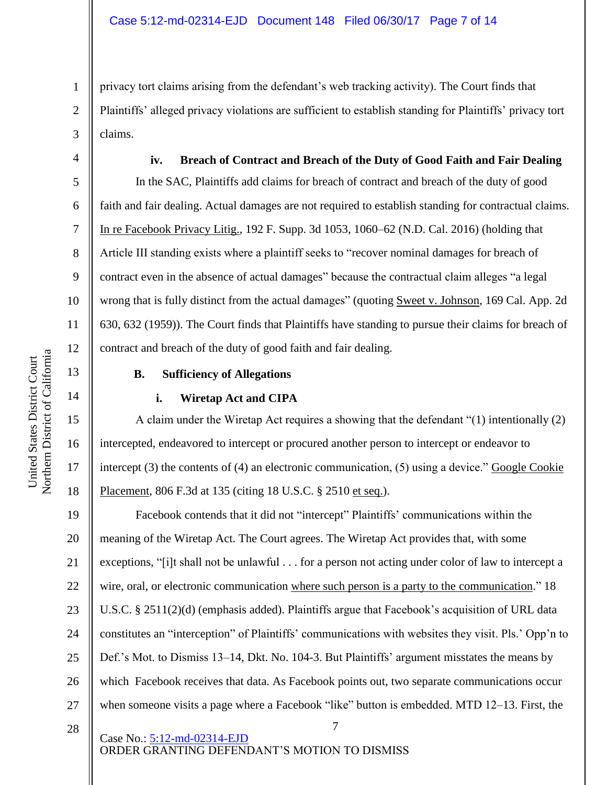privacy tort claims arising from the defendant's web tracking activity). The Court finds that Plaintiffs' alleged privacy violations are sufficient to establish standing for Plaintiffs' privacy tort claims.

**iv. Breach of Contract and Breach of the Duty of Good Faith and Fair Dealing** In the SAC, Plaintiffs add claims for breach of contract and breach of the duty of good faith and fair dealing. Actual damages are not required to establish standing for contractual claims. In re Facebook Privacy Litig., 192 F. Supp. 3d 1053, 1060–62 (N.D. Cal. 2016) (holding that Article III standing exists where a plaintiff seeks to "recover nominal damages for breach of contract even in the absence of actual damages" because the contractual claim alleges "a legal wrong that is fully distinct from the actual damages" (quoting Sweet v. Johnson, 169 Cal. App. 2d 630, 632 (1959)). The Court finds that Plaintiffs have standing to pursue their claims for breach of contract and breach of the duty of good faith and fair dealing.

#### **B. Sufficiency of Allegations**

#### **i. Wiretap Act and CIPA**

A claim under the Wiretap Act requires a showing that the defendant "(1) intentionally (2) intercepted, endeavored to intercept or procured another person to intercept or endeavor to intercept  $(3)$  the contents of  $(4)$  an electronic communication,  $(5)$  using a device." Google Cookie Placement, 806 F.3d at 135 (citing 18 U.S.C. § 2510 et seq.).

19 20 21 22 23 24 25 26 27 Facebook contends that it did not "intercept" Plaintiffs' communications within the meaning of the Wiretap Act. The Court agrees. The Wiretap Act provides that, with some exceptions, "[i]t shall not be unlawful . . . for a person not acting under color of law to intercept a wire, oral, or electronic communication where such person is a party to the communication." 18 U.S.C. § 2511(2)(d) (emphasis added). Plaintiffs argue that Facebook's acquisition of URL data constitutes an "interception" of Plaintiffs' communications with websites they visit. Pls.' Opp'n to Def.'s Mot. to Dismiss 13–14, Dkt. No. 104-3. But Plaintiffs' argument misstates the means by which Facebook receives that data. As Facebook points out, two separate communications occur when someone visits a page where a Facebook "like" button is embedded. MTD 12–13. First, the

7

28

Case No.: [5:12-md-02314-EJD](https://ecf.cand.uscourts.gov/cgi-bin/DktRpt.pl?251223) ORDER GRANTING DEFENDANT'S MOTION TO DISMISS

1

2

3

4

5

6

7

8

9

10

11

12

13

14

15

16

17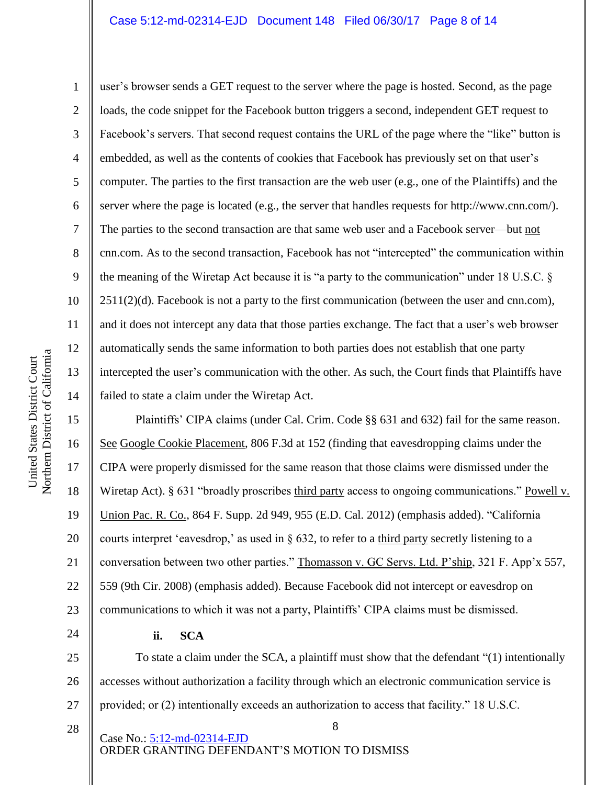#### Case 5:12-md-02314-EJD Document 148 Filed 06/30/17 Page 8 of 14

10 11 12 Northern District of California Northern District of California 13 14

United States District Court

United States District Court

1

2

3

5

8

9

4 6 7 user's browser sends a GET request to the server where the page is hosted. Second, as the page loads, the code snippet for the Facebook button triggers a second, independent GET request to Facebook's servers. That second request contains the URL of the page where the "like" button is embedded, as well as the contents of cookies that Facebook has previously set on that user's computer. The parties to the first transaction are the web user (e.g., one of the Plaintiffs) and the server where the page is located (e.g., the server that handles requests for http://www.cnn.com/). The parties to the second transaction are that same web user and a Facebook server—but not cnn.com. As to the second transaction, Facebook has not "intercepted" the communication within the meaning of the Wiretap Act because it is "a party to the communication" under 18 U.S.C. §  $2511(2)(d)$ . Facebook is not a party to the first communication (between the user and cnn.com), and it does not intercept any data that those parties exchange. The fact that a user's web browser automatically sends the same information to both parties does not establish that one party intercepted the user's communication with the other. As such, the Court finds that Plaintiffs have failed to state a claim under the Wiretap Act.

15 16 17 18 19 20 21 22 23 Plaintiffs' CIPA claims (under Cal. Crim. Code §§ 631 and 632) fail for the same reason. See Google Cookie Placement, 806 F.3d at 152 (finding that eavesdropping claims under the CIPA were properly dismissed for the same reason that those claims were dismissed under the Wiretap Act). § 631 "broadly proscribes third party access to ongoing communications." Powell v. Union Pac. R. Co., 864 F. Supp. 2d 949, 955 (E.D. Cal. 2012) (emphasis added). "California courts interpret 'eavesdrop,' as used in § 632, to refer to a third party secretly listening to a conversation between two other parties." Thomasson v. GC Servs. Ltd. P'ship, 321 F. App'x 557, 559 (9th Cir. 2008) (emphasis added). Because Facebook did not intercept or eavesdrop on communications to which it was not a party, Plaintiffs' CIPA claims must be dismissed.

**ii. SCA**

25 26 27 To state a claim under the SCA, a plaintiff must show that the defendant "(1) intentionally accesses without authorization a facility through which an electronic communication service is provided; or (2) intentionally exceeds an authorization to access that facility." 18 U.S.C.

8

28

24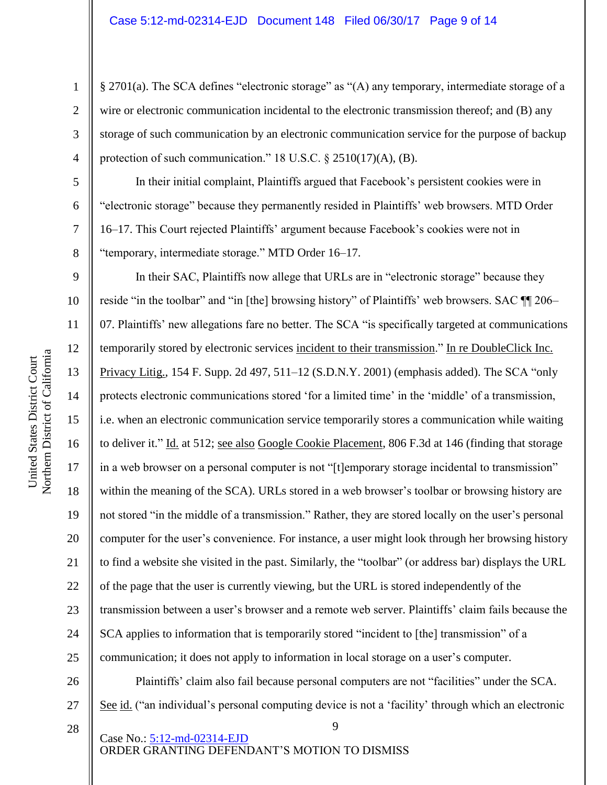§ 2701(a). The SCA defines "electronic storage" as "(A) any temporary, intermediate storage of a wire or electronic communication incidental to the electronic transmission thereof; and (B) any storage of such communication by an electronic communication service for the purpose of backup protection of such communication." 18 U.S.C. § 2510(17)(A), (B).

In their initial complaint, Plaintiffs argued that Facebook's persistent cookies were in "electronic storage" because they permanently resided in Plaintiffs' web browsers. MTD Order 16–17. This Court rejected Plaintiffs' argument because Facebook's cookies were not in "temporary, intermediate storage." MTD Order 16–17.

In their SAC, Plaintiffs now allege that URLs are in "electronic storage" because they reside "in the toolbar" and "in [the] browsing history" of Plaintiffs' web browsers. SAC ¶¶ 206– 07. Plaintiffs' new allegations fare no better. The SCA "is specifically targeted at communications temporarily stored by electronic services incident to their transmission." In re DoubleClick Inc. Privacy Litig., 154 F. Supp. 2d 497, 511–12 (S.D.N.Y. 2001) (emphasis added). The SCA "only protects electronic communications stored 'for a limited time' in the 'middle' of a transmission, i.e. when an electronic communication service temporarily stores a communication while waiting to deliver it." Id. at 512; see also Google Cookie Placement, 806 F.3d at 146 (finding that storage in a web browser on a personal computer is not "[t]emporary storage incidental to transmission" within the meaning of the SCA). URLs stored in a web browser's toolbar or browsing history are not stored "in the middle of a transmission." Rather, they are stored locally on the user's personal computer for the user's convenience. For instance, a user might look through her browsing history to find a website she visited in the past. Similarly, the "toolbar" (or address bar) displays the URL of the page that the user is currently viewing, but the URL is stored independently of the transmission between a user's browser and a remote web server. Plaintiffs' claim fails because the SCA applies to information that is temporarily stored "incident to [the] transmission" of a communication; it does not apply to information in local storage on a user's computer.

26 27 Plaintiffs' claim also fail because personal computers are not "facilities" under the SCA. See id. ("an individual's personal computing device is not a 'facility' through which an electronic

9

28

Case No.: [5:12-md-02314-EJD](https://ecf.cand.uscourts.gov/cgi-bin/DktRpt.pl?251223) ORDER GRANTING DEFENDANT'S MOTION TO DISMISS

Northern District of California Northern District of California United States District Court United States District Court

1

2

3

4

5

6

7

8

9

10

11

12

13

14

15

16

17

18

19

20

21

22

23

24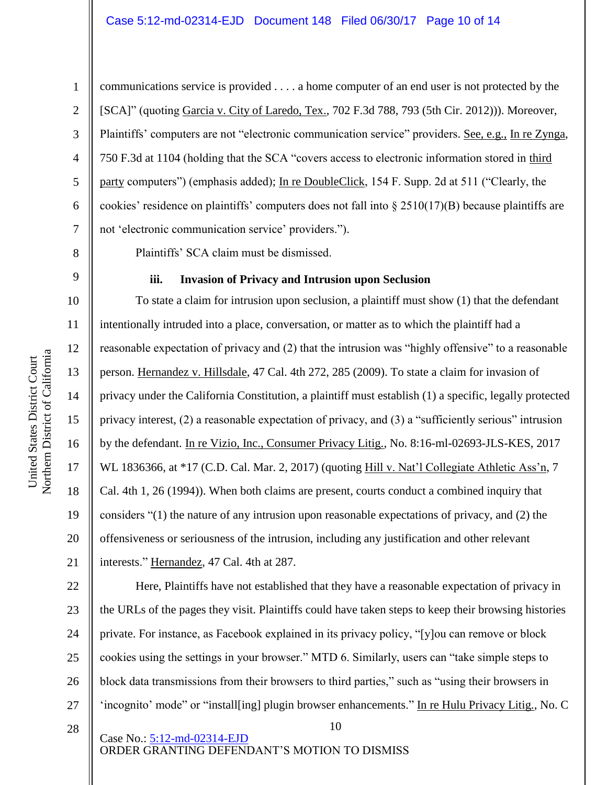communications service is provided . . . . a home computer of an end user is not protected by the [SCA]" (quoting Garcia v. City of Laredo, Tex., 702 F.3d 788, 793 (5th Cir. 2012))). Moreover, Plaintiffs' computers are not "electronic communication service" providers. See, e.g., In re Zynga, 750 F.3d at 1104 (holding that the SCA "covers access to electronic information stored in third party computers") (emphasis added); In re DoubleClick, 154 F. Supp. 2d at 511 ("Clearly, the cookies' residence on plaintiffs' computers does not fall into § 2510(17)(B) because plaintiffs are not 'electronic communication service' providers.").

Plaintiffs' SCA claim must be dismissed.

### **iii. Invasion of Privacy and Intrusion upon Seclusion**

16 20 To state a claim for intrusion upon seclusion, a plaintiff must show (1) that the defendant intentionally intruded into a place, conversation, or matter as to which the plaintiff had a reasonable expectation of privacy and (2) that the intrusion was "highly offensive" to a reasonable person. Hernandez v. Hillsdale, 47 Cal. 4th 272, 285 (2009). To state a claim for invasion of privacy under the California Constitution, a plaintiff must establish (1) a specific, legally protected privacy interest, (2) a reasonable expectation of privacy, and (3) a "sufficiently serious" intrusion by the defendant. In re Vizio, Inc., Consumer Privacy Litig., No. 8:16-ml-02693-JLS-KES, 2017 WL 1836366, at \*17 (C.D. Cal. Mar. 2, 2017) (quoting Hill v. Nat'l Collegiate Athletic Ass'n, 7 Cal. 4th 1, 26 (1994)). When both claims are present, courts conduct a combined inquiry that considers "(1) the nature of any intrusion upon reasonable expectations of privacy, and (2) the offensiveness or seriousness of the intrusion, including any justification and other relevant interests." Hernandez, 47 Cal. 4th at 287.

Here, Plaintiffs have not established that they have a reasonable expectation of privacy in the URLs of the pages they visit. Plaintiffs could have taken steps to keep their browsing histories private. For instance, as Facebook explained in its privacy policy, "[y]ou can remove or block cookies using the settings in your browser." MTD 6. Similarly, users can "take simple steps to block data transmissions from their browsers to third parties," such as "using their browsers in 'incognito' mode" or "install[ing] plugin browser enhancements." In re Hulu Privacy Litig., No. C

10

28

Case No.: [5:12-md-02314-EJD](https://ecf.cand.uscourts.gov/cgi-bin/DktRpt.pl?251223) ORDER GRANTING DEFENDANT'S MOTION TO DISMISS

1

2

3

4

5

6

7

8

9

10

11

12

13

14

15

17

18

19

21

22

23

24

25

26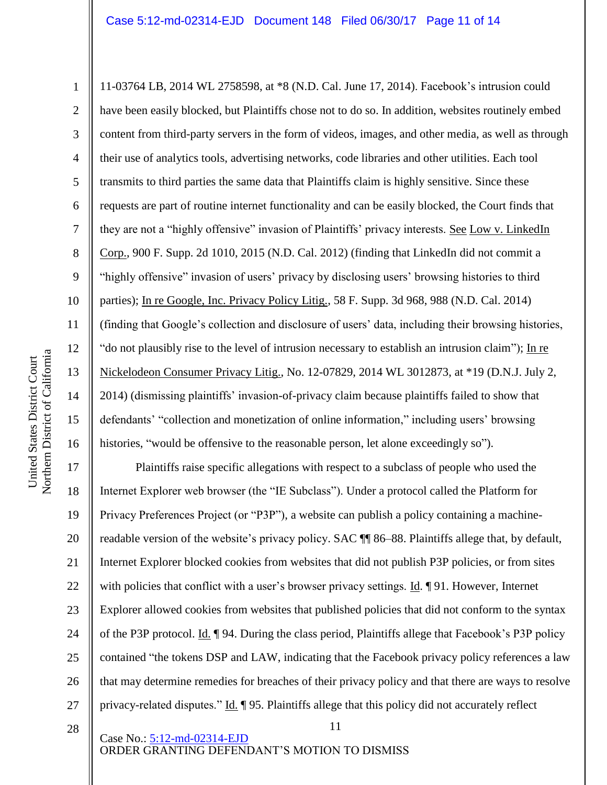11-03764 LB, 2014 WL 2758598, at \*8 (N.D. Cal. June 17, 2014). Facebook's intrusion could have been easily blocked, but Plaintiffs chose not to do so. In addition, websites routinely embed content from third-party servers in the form of videos, images, and other media, as well as through their use of analytics tools, advertising networks, code libraries and other utilities. Each tool transmits to third parties the same data that Plaintiffs claim is highly sensitive. Since these requests are part of routine internet functionality and can be easily blocked, the Court finds that they are not a "highly offensive" invasion of Plaintiffs' privacy interests. See Low v. LinkedIn Corp., 900 F. Supp. 2d 1010, 2015 (N.D. Cal. 2012) (finding that LinkedIn did not commit a "highly offensive" invasion of users' privacy by disclosing users' browsing histories to third parties); In re Google, Inc. Privacy Policy Litig., 58 F. Supp. 3d 968, 988 (N.D. Cal. 2014) (finding that Google's collection and disclosure of users' data, including their browsing histories, "do not plausibly rise to the level of intrusion necessary to establish an intrusion claim"); In re Nickelodeon Consumer Privacy Litig., No. 12-07829, 2014 WL 3012873, at \*19 (D.N.J. July 2, 2014) (dismissing plaintiffs' invasion-of-privacy claim because plaintiffs failed to show that defendants' "collection and monetization of online information," including users' browsing histories, "would be offensive to the reasonable person, let alone exceedingly so").

17 18 19 20 21 22 23 24 25 26 27 Plaintiffs raise specific allegations with respect to a subclass of people who used the Internet Explorer web browser (the "IE Subclass"). Under a protocol called the Platform for Privacy Preferences Project (or "P3P"), a website can publish a policy containing a machinereadable version of the website's privacy policy. SAC ¶¶ 86–88. Plaintiffs allege that, by default, Internet Explorer blocked cookies from websites that did not publish P3P policies, or from sites with policies that conflict with a user's browser privacy settings. Id. ¶ 91. However, Internet Explorer allowed cookies from websites that published policies that did not conform to the syntax of the P3P protocol. Id. ¶ 94. During the class period, Plaintiffs allege that Facebook's P3P policy contained "the tokens DSP and LAW, indicating that the Facebook privacy policy references a law that may determine remedies for breaches of their privacy policy and that there are ways to resolve privacy-related disputes." Id. 195. Plaintiffs allege that this policy did not accurately reflect

11

28

Case No.: [5:12-md-02314-EJD](https://ecf.cand.uscourts.gov/cgi-bin/DktRpt.pl?251223) ORDER GRANTING DEFENDANT'S MOTION TO DISMISS

1

2

3

4

5

6

7

8

9

10

11

12

13

14

15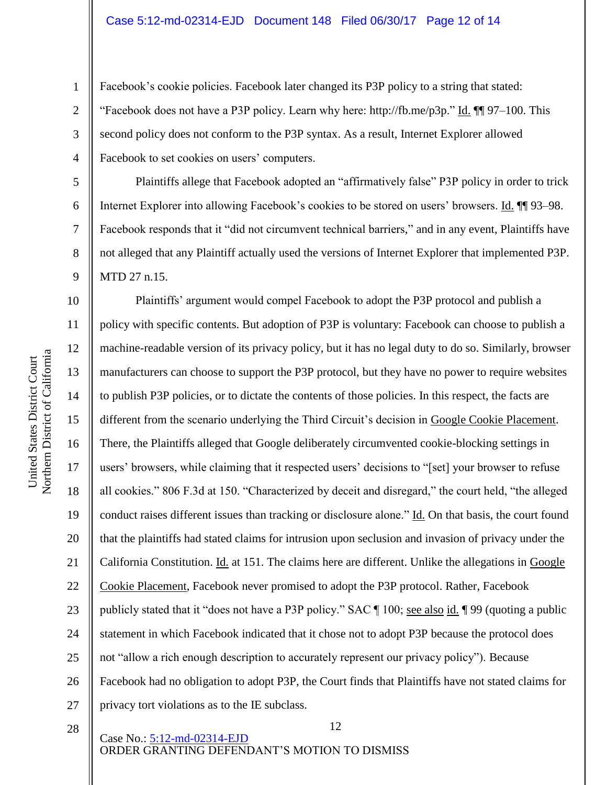Facebook's cookie policies. Facebook later changed its P3P policy to a string that stated: "Facebook does not have a P3P policy. Learn why here: http://fb.me/p3p." Id.  $\P$ [97–100. This second policy does not conform to the P3P syntax. As a result, Internet Explorer allowed Facebook to set cookies on users' computers.

Plaintiffs allege that Facebook adopted an "affirmatively false" P3P policy in order to trick Internet Explorer into allowing Facebook's cookies to be stored on users' browsers. Id.  $\P$  93–98. Facebook responds that it "did not circumvent technical barriers," and in any event, Plaintiffs have not alleged that any Plaintiff actually used the versions of Internet Explorer that implemented P3P. MTD 27 n.15.

10 11 12 13 14 15 16 17 18 19 20 21 22 23 24 25 26 27 Plaintiffs' argument would compel Facebook to adopt the P3P protocol and publish a policy with specific contents. But adoption of P3P is voluntary: Facebook can choose to publish a machine-readable version of its privacy policy, but it has no legal duty to do so. Similarly, browser manufacturers can choose to support the P3P protocol, but they have no power to require websites to publish P3P policies, or to dictate the contents of those policies. In this respect, the facts are different from the scenario underlying the Third Circuit's decision in Google Cookie Placement. There, the Plaintiffs alleged that Google deliberately circumvented cookie-blocking settings in users' browsers, while claiming that it respected users' decisions to "[set] your browser to refuse all cookies." 806 F.3d at 150. "Characterized by deceit and disregard," the court held, "the alleged conduct raises different issues than tracking or disclosure alone." Id. On that basis, the court found that the plaintiffs had stated claims for intrusion upon seclusion and invasion of privacy under the California Constitution. Id. at 151. The claims here are different. Unlike the allegations in Google Cookie Placement, Facebook never promised to adopt the P3P protocol. Rather, Facebook publicly stated that it "does not have a P3P policy." SAC  $\parallel$  100; <u>see also id.</u>  $\parallel$  99 (quoting a public statement in which Facebook indicated that it chose not to adopt P3P because the protocol does not "allow a rich enough description to accurately represent our privacy policy"). Because Facebook had no obligation to adopt P3P, the Court finds that Plaintiffs have not stated claims for privacy tort violations as to the IE subclass.

28

12 Case No.: [5:12-md-02314-EJD](https://ecf.cand.uscourts.gov/cgi-bin/DktRpt.pl?251223) ORDER GRANTING DEFENDANT'S MOTION TO DISMISS

Northern District of California Northern District of California United States District Court United States District Court

1

2

3

4

5

6

7

8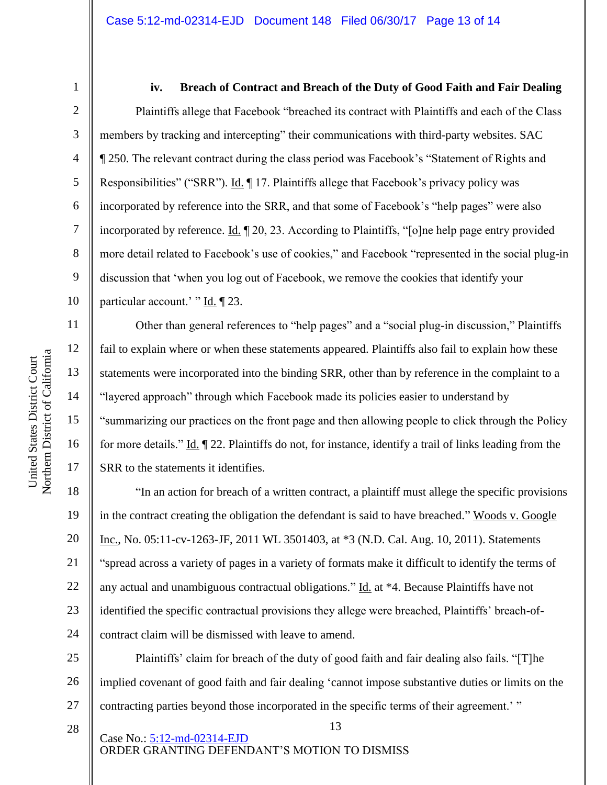7

8

9

10

11

12

13

14

15

16

17

28

1

#### **iv. Breach of Contract and Breach of the Duty of Good Faith and Fair Dealing**

Plaintiffs allege that Facebook "breached its contract with Plaintiffs and each of the Class members by tracking and intercepting" their communications with third-party websites. SAC ¶ 250. The relevant contract during the class period was Facebook's "Statement of Rights and Responsibilities" ("SRR"). Id. 17. Plaintiffs allege that Facebook's privacy policy was incorporated by reference into the SRR, and that some of Facebook's "help pages" were also incorporated by reference. Id. ¶ 20, 23. According to Plaintiffs, "[o]ne help page entry provided more detail related to Facebook's use of cookies," and Facebook "represented in the social plug-in discussion that 'when you log out of Facebook, we remove the cookies that identify your particular account.' " Id. ¶ 23.

Other than general references to "help pages" and a "social plug-in discussion," Plaintiffs fail to explain where or when these statements appeared. Plaintiffs also fail to explain how these statements were incorporated into the binding SRR, other than by reference in the complaint to a "layered approach" through which Facebook made its policies easier to understand by "summarizing our practices on the front page and then allowing people to click through the Policy for more details." Id. ¶ 22. Plaintiffs do not, for instance, identify a trail of links leading from the SRR to the statements it identifies.

18 19 20 21 22 23 24 "In an action for breach of a written contract, a plaintiff must allege the specific provisions in the contract creating the obligation the defendant is said to have breached." Woods v. Google Inc., No. 05:11-cv-1263-JF, 2011 WL 3501403, at \*3 (N.D. Cal. Aug. 10, 2011). Statements "spread across a variety of pages in a variety of formats make it difficult to identify the terms of any actual and unambiguous contractual obligations." Id. at \*4. Because Plaintiffs have not identified the specific contractual provisions they allege were breached, Plaintiffs' breach-ofcontract claim will be dismissed with leave to amend.

25 26 27 Plaintiffs' claim for breach of the duty of good faith and fair dealing also fails. "[T]he implied covenant of good faith and fair dealing 'cannot impose substantive duties or limits on the contracting parties beyond those incorporated in the specific terms of their agreement.' "